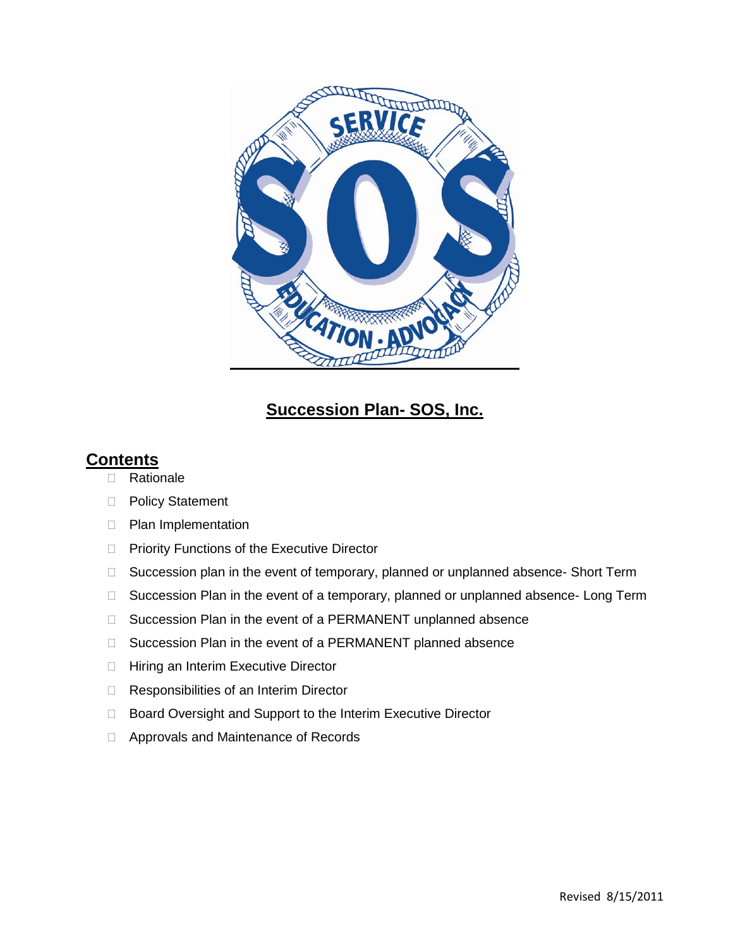

# **Succession Plan- SOS, Inc.**

## **Contents**

- □ Rationale
- D Policy Statement
- **Plan Implementation**
- **Priority Functions of the Executive Director**
- □ Succession plan in the event of temporary, planned or unplanned absence- Short Term
- □ Succession Plan in the event of a temporary, planned or unplanned absence- Long Term
- □ Succession Plan in the event of a PERMANENT unplanned absence
- □ Succession Plan in the event of a PERMANENT planned absence
- □ Hiring an Interim Executive Director
- □ Responsibilities of an Interim Director
- □ Board Oversight and Support to the Interim Executive Director
- □ Approvals and Maintenance of Records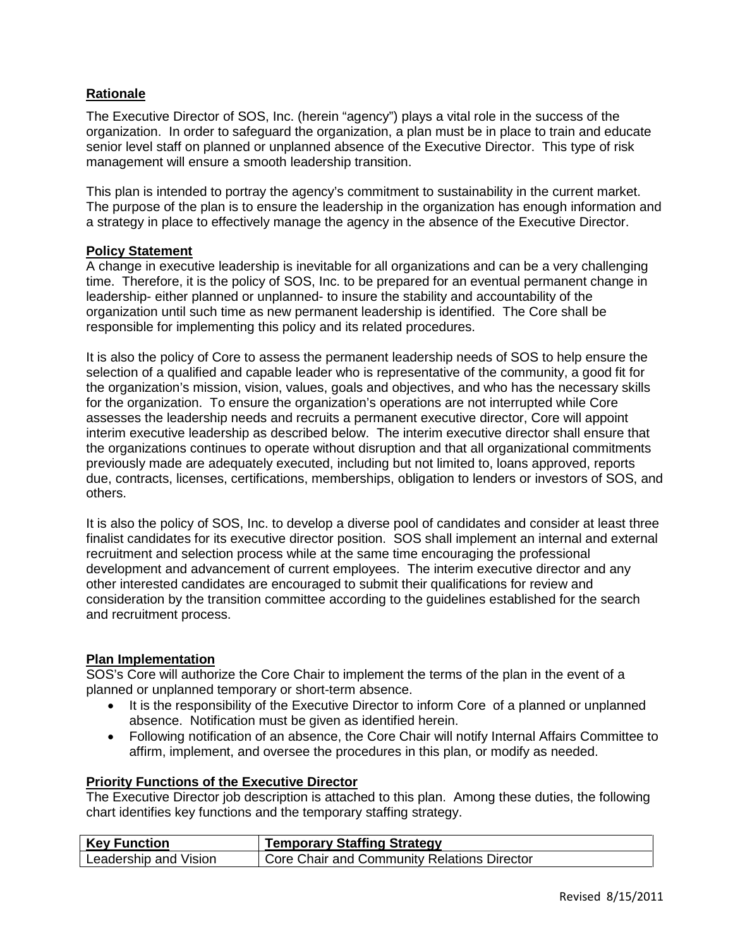#### **Rationale**

The Executive Director of SOS, Inc. (herein "agency") plays a vital role in the success of the organization. In order to safeguard the organization, a plan must be in place to train and educate senior level staff on planned or unplanned absence of the Executive Director. This type of risk management will ensure a smooth leadership transition.

This plan is intended to portray the agency's commitment to sustainability in the current market. The purpose of the plan is to ensure the leadership in the organization has enough information and a strategy in place to effectively manage the agency in the absence of the Executive Director.

#### **Policy Statement**

A change in executive leadership is inevitable for all organizations and can be a very challenging time. Therefore, it is the policy of SOS, Inc. to be prepared for an eventual permanent change in leadership- either planned or unplanned- to insure the stability and accountability of the organization until such time as new permanent leadership is identified. The Core shall be responsible for implementing this policy and its related procedures.

It is also the policy of Core to assess the permanent leadership needs of SOS to help ensure the selection of a qualified and capable leader who is representative of the community, a good fit for the organization's mission, vision, values, goals and objectives, and who has the necessary skills for the organization. To ensure the organization's operations are not interrupted while Core assesses the leadership needs and recruits a permanent executive director, Core will appoint interim executive leadership as described below. The interim executive director shall ensure that the organizations continues to operate without disruption and that all organizational commitments previously made are adequately executed, including but not limited to, loans approved, reports due, contracts, licenses, certifications, memberships, obligation to lenders or investors of SOS, and others.

It is also the policy of SOS, Inc. to develop a diverse pool of candidates and consider at least three finalist candidates for its executive director position. SOS shall implement an internal and external recruitment and selection process while at the same time encouraging the professional development and advancement of current employees. The interim executive director and any other interested candidates are encouraged to submit their qualifications for review and consideration by the transition committee according to the guidelines established for the search and recruitment process.

#### **Plan Implementation**

SOS's Core will authorize the Core Chair to implement the terms of the plan in the event of a planned or unplanned temporary or short-term absence.

- It is the responsibility of the Executive Director to inform Core of a planned or unplanned absence. Notification must be given as identified herein.
- Following notification of an absence, the Core Chair will notify Internal Affairs Committee to affirm, implement, and oversee the procedures in this plan, or modify as needed.

#### **Priority Functions of the Executive Director**

The Executive Director job description is attached to this plan. Among these duties, the following chart identifies key functions and the temporary staffing strategy.

| <b>Key Function</b>   | <b>Temporary Staffing Strategy</b>                       |
|-----------------------|----------------------------------------------------------|
| Leadership and Vision | <sup>1</sup> Core Chair and Community Relations Director |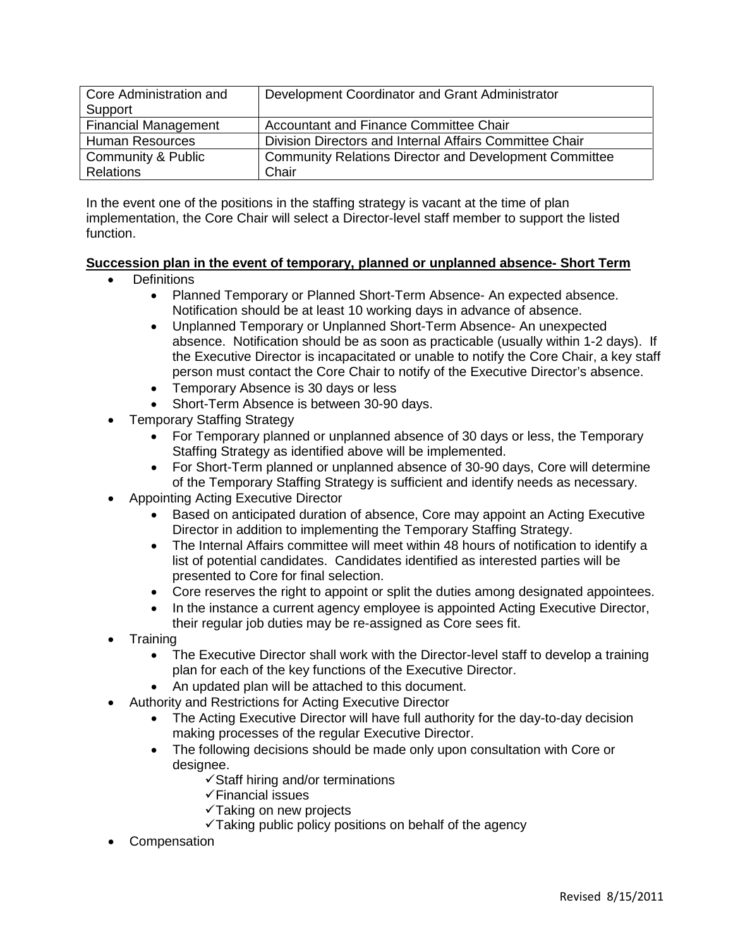| Core Administration and     | Development Coordinator and Grant Administrator               |
|-----------------------------|---------------------------------------------------------------|
| Support                     |                                                               |
| <b>Financial Management</b> | Accountant and Finance Committee Chair                        |
| <b>Human Resources</b>      | Division Directors and Internal Affairs Committee Chair       |
| Community & Public          | <b>Community Relations Director and Development Committee</b> |
| <b>Relations</b>            | Chair                                                         |

In the event one of the positions in the staffing strategy is vacant at the time of plan implementation, the Core Chair will select a Director-level staff member to support the listed function.

#### **Succession plan in the event of temporary, planned or unplanned absence- Short Term**

- Definitions
	- Planned Temporary or Planned Short-Term Absence- An expected absence. Notification should be at least 10 working days in advance of absence.
	- Unplanned Temporary or Unplanned Short-Term Absence- An unexpected absence. Notification should be as soon as practicable (usually within 1-2 days). If the Executive Director is incapacitated or unable to notify the Core Chair, a key staff person must contact the Core Chair to notify of the Executive Director's absence.
	- Temporary Absence is 30 days or less
	- Short-Term Absence is between 30-90 days.
- Temporary Staffing Strategy
	- For Temporary planned or unplanned absence of 30 days or less, the Temporary Staffing Strategy as identified above will be implemented.
	- For Short-Term planned or unplanned absence of 30-90 days, Core will determine of the Temporary Staffing Strategy is sufficient and identify needs as necessary.
- Appointing Acting Executive Director
	- Based on anticipated duration of absence, Core may appoint an Acting Executive Director in addition to implementing the Temporary Staffing Strategy.
	- The Internal Affairs committee will meet within 48 hours of notification to identify a list of potential candidates. Candidates identified as interested parties will be presented to Core for final selection.
	- Core reserves the right to appoint or split the duties among designated appointees.
	- In the instance a current agency employee is appointed Acting Executive Director, their regular job duties may be re-assigned as Core sees fit.
- **Training** 
	- The Executive Director shall work with the Director-level staff to develop a training plan for each of the key functions of the Executive Director.
	- An updated plan will be attached to this document.
- Authority and Restrictions for Acting Executive Director
	- The Acting Executive Director will have full authority for the day-to-day decision making processes of the regular Executive Director.
	- The following decisions should be made only upon consultation with Core or designee.
		- $\checkmark$  Staff hiring and/or terminations
		- $\checkmark$  Financial issues
		- $\checkmark$  Taking on new projects
		- $\checkmark$  Taking public policy positions on behalf of the agency
- **Compensation**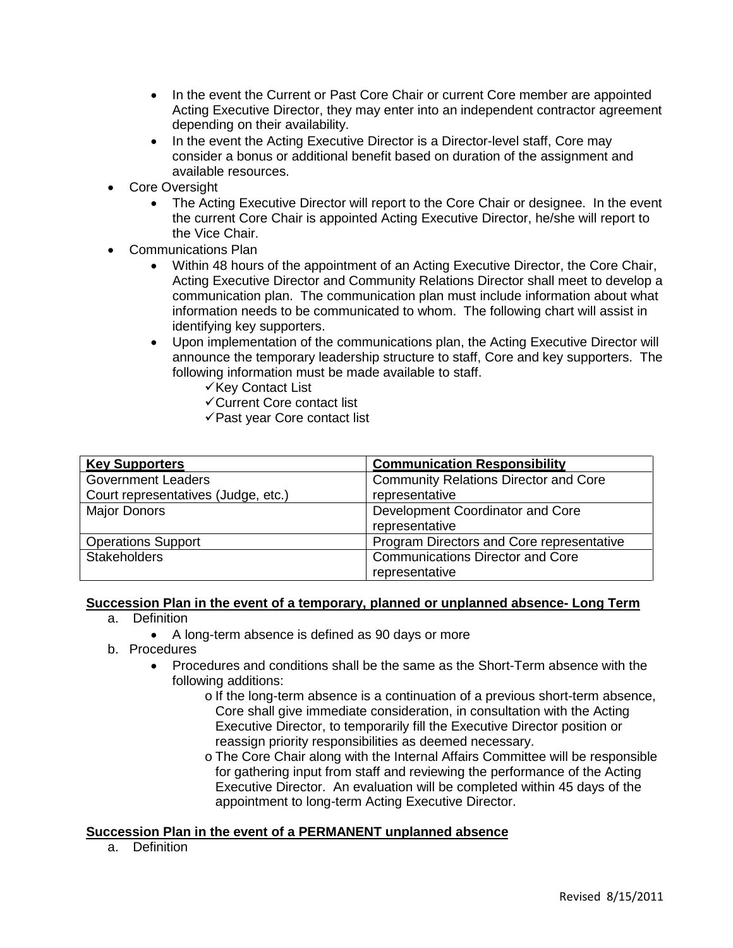- In the event the Current or Past Core Chair or current Core member are appointed Acting Executive Director, they may enter into an independent contractor agreement depending on their availability.
- In the event the Acting Executive Director is a Director-level staff, Core may consider a bonus or additional benefit based on duration of the assignment and available resources.
- **Core Oversight** 
	- The Acting Executive Director will report to the Core Chair or designee. In the event the current Core Chair is appointed Acting Executive Director, he/she will report to the Vice Chair.
- Communications Plan
	- Within 48 hours of the appointment of an Acting Executive Director, the Core Chair, Acting Executive Director and Community Relations Director shall meet to develop a communication plan. The communication plan must include information about what information needs to be communicated to whom. The following chart will assist in identifying key supporters.
	- Upon implementation of the communications plan, the Acting Executive Director will announce the temporary leadership structure to staff, Core and key supporters. The following information must be made available to staff.
		- $\checkmark$  Key Contact List
		- Current Core contact list
		- $\checkmark$  Past year Core contact list

| <b>Key Supporters</b>               | <b>Communication Responsibility</b>          |
|-------------------------------------|----------------------------------------------|
| <b>Government Leaders</b>           | <b>Community Relations Director and Core</b> |
| Court representatives (Judge, etc.) | representative                               |
| <b>Major Donors</b>                 | Development Coordinator and Core             |
|                                     | representative                               |
| <b>Operations Support</b>           | Program Directors and Core representative    |
| <b>Stakeholders</b>                 | <b>Communications Director and Core</b>      |
|                                     | representative                               |

#### **Succession Plan in the event of a temporary, planned or unplanned absence- Long Term**

- a. Definition
	- A long-term absence is defined as 90 days or more
- b. Procedures
	- Procedures and conditions shall be the same as the Short-Term absence with the following additions:
		- o If the long-term absence is a continuation of a previous short-term absence, Core shall give immediate consideration, in consultation with the Acting Executive Director, to temporarily fill the Executive Director position or reassign priority responsibilities as deemed necessary.
		- o The Core Chair along with the Internal Affairs Committee will be responsible for gathering input from staff and reviewing the performance of the Acting Executive Director. An evaluation will be completed within 45 days of the appointment to long-term Acting Executive Director.

#### **Succession Plan in the event of a PERMANENT unplanned absence**

a. Definition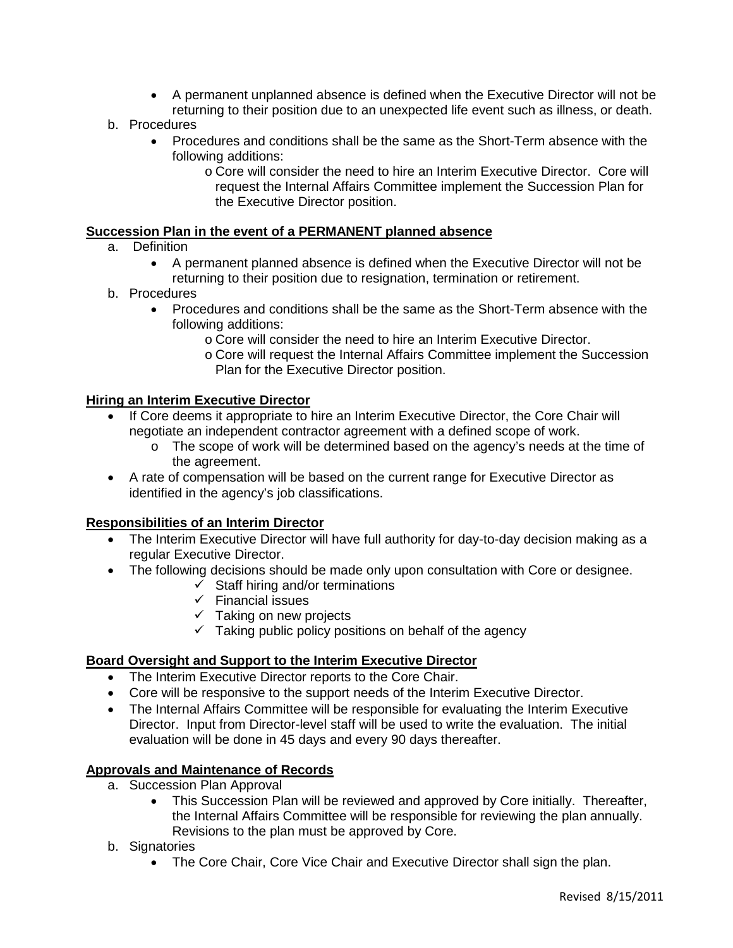- A permanent unplanned absence is defined when the Executive Director will not be returning to their position due to an unexpected life event such as illness, or death.
- b. Procedures
	- Procedures and conditions shall be the same as the Short-Term absence with the following additions:
		- o Core will consider the need to hire an Interim Executive Director. Core will request the Internal Affairs Committee implement the Succession Plan for the Executive Director position.

#### **Succession Plan in the event of a PERMANENT planned absence**

- a. Definition
	- A permanent planned absence is defined when the Executive Director will not be returning to their position due to resignation, termination or retirement.

#### b. Procedures

- Procedures and conditions shall be the same as the Short-Term absence with the following additions:
	- o Core will consider the need to hire an Interim Executive Director.
	- o Core will request the Internal Affairs Committee implement the Succession Plan for the Executive Director position.

#### **Hiring an Interim Executive Director**

- If Core deems it appropriate to hire an Interim Executive Director, the Core Chair will negotiate an independent contractor agreement with a defined scope of work.
	- o The scope of work will be determined based on the agency's needs at the time of the agreement.
- A rate of compensation will be based on the current range for Executive Director as identified in the agency's job classifications.

#### **Responsibilities of an Interim Director**

- The Interim Executive Director will have full authority for day-to-day decision making as a regular Executive Director.
- The following decisions should be made only upon consultation with Core or designee.
	- $\checkmark$  Staff hiring and/or terminations
		- $\checkmark$  Financial issues
		- $\checkmark$  Taking on new projects
		- $\checkmark$  Taking public policy positions on behalf of the agency

#### **Board Oversight and Support to the Interim Executive Director**

- The Interim Executive Director reports to the Core Chair.
- Core will be responsive to the support needs of the Interim Executive Director.
- The Internal Affairs Committee will be responsible for evaluating the Interim Executive Director. Input from Director-level staff will be used to write the evaluation. The initial evaluation will be done in 45 days and every 90 days thereafter.

#### **Approvals and Maintenance of Records**

- a. Succession Plan Approval
	- This Succession Plan will be reviewed and approved by Core initially. Thereafter, the Internal Affairs Committee will be responsible for reviewing the plan annually. Revisions to the plan must be approved by Core.
- b. Signatories
	- The Core Chair, Core Vice Chair and Executive Director shall sign the plan.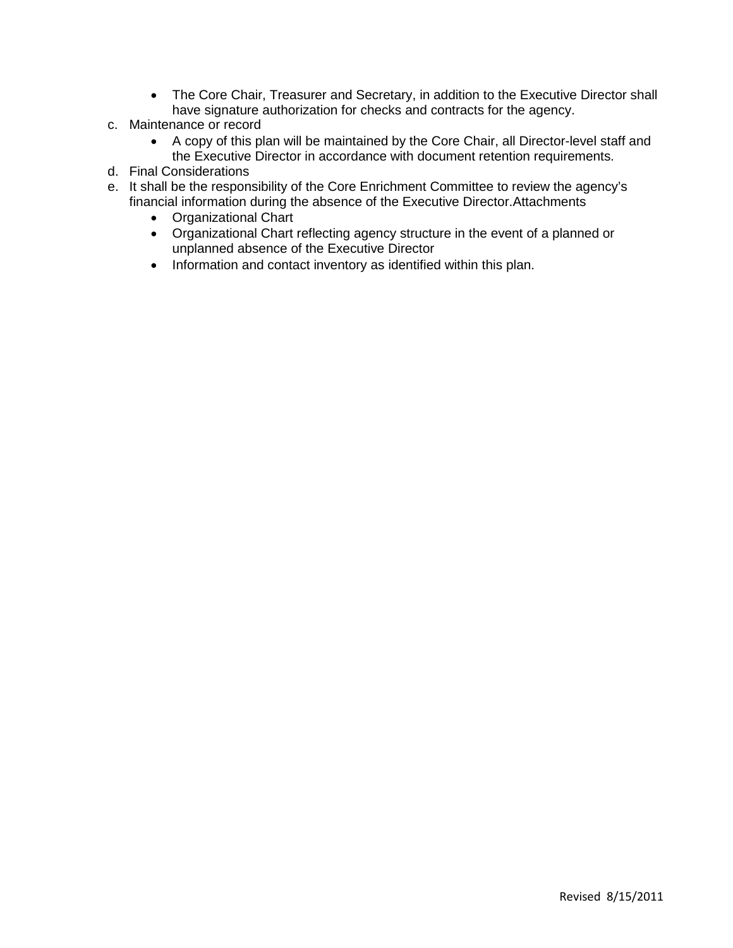- The Core Chair, Treasurer and Secretary, in addition to the Executive Director shall have signature authorization for checks and contracts for the agency.
- c. Maintenance or record
	- A copy of this plan will be maintained by the Core Chair, all Director-level staff and the Executive Director in accordance with document retention requirements.
- d. Final Considerations
- e. It shall be the responsibility of the Core Enrichment Committee to review the agency's financial information during the absence of the Executive Director.Attachments
	- Organizational Chart
	- Organizational Chart reflecting agency structure in the event of a planned or unplanned absence of the Executive Director
	- Information and contact inventory as identified within this plan.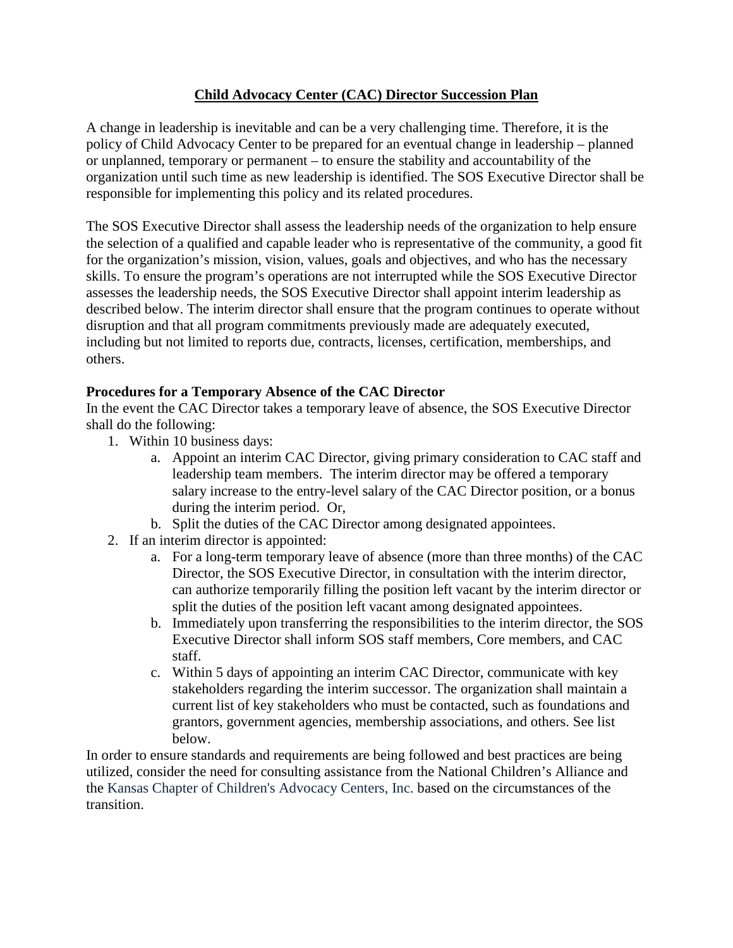## **Child Advocacy Center (CAC) Director Succession Plan**

A change in leadership is inevitable and can be a very challenging time. Therefore, it is the policy of Child Advocacy Center to be prepared for an eventual change in leadership – planned or unplanned, temporary or permanent – to ensure the stability and accountability of the organization until such time as new leadership is identified. The SOS Executive Director shall be responsible for implementing this policy and its related procedures.

The SOS Executive Director shall assess the leadership needs of the organization to help ensure the selection of a qualified and capable leader who is representative of the community, a good fit for the organization's mission, vision, values, goals and objectives, and who has the necessary skills. To ensure the program's operations are not interrupted while the SOS Executive Director assesses the leadership needs, the SOS Executive Director shall appoint interim leadership as described below. The interim director shall ensure that the program continues to operate without disruption and that all program commitments previously made are adequately executed, including but not limited to reports due, contracts, licenses, certification, memberships, and others.

## **Procedures for a Temporary Absence of the CAC Director**

In the event the CAC Director takes a temporary leave of absence, the SOS Executive Director shall do the following:

- 1. Within 10 business days:
	- a. Appoint an interim CAC Director, giving primary consideration to CAC staff and leadership team members. The interim director may be offered a temporary salary increase to the entry-level salary of the CAC Director position, or a bonus during the interim period. Or,
	- b. Split the duties of the CAC Director among designated appointees.
- 2. If an interim director is appointed:
	- a. For a long-term temporary leave of absence (more than three months) of the CAC Director, the SOS Executive Director, in consultation with the interim director, can authorize temporarily filling the position left vacant by the interim director or split the duties of the position left vacant among designated appointees.
	- b. Immediately upon transferring the responsibilities to the interim director, the SOS Executive Director shall inform SOS staff members, Core members, and CAC staff.
	- c. Within 5 days of appointing an interim CAC Director, communicate with key stakeholders regarding the interim successor. The organization shall maintain a current list of key stakeholders who must be contacted, such as foundations and grantors, government agencies, membership associations, and others. See list below.

In order to ensure standards and requirements are being followed and best practices are being utilized, consider the need for consulting assistance from the National Children's Alliance and the Kansas Chapter of Children's Advocacy Centers, Inc. based on the circumstances of the transition.